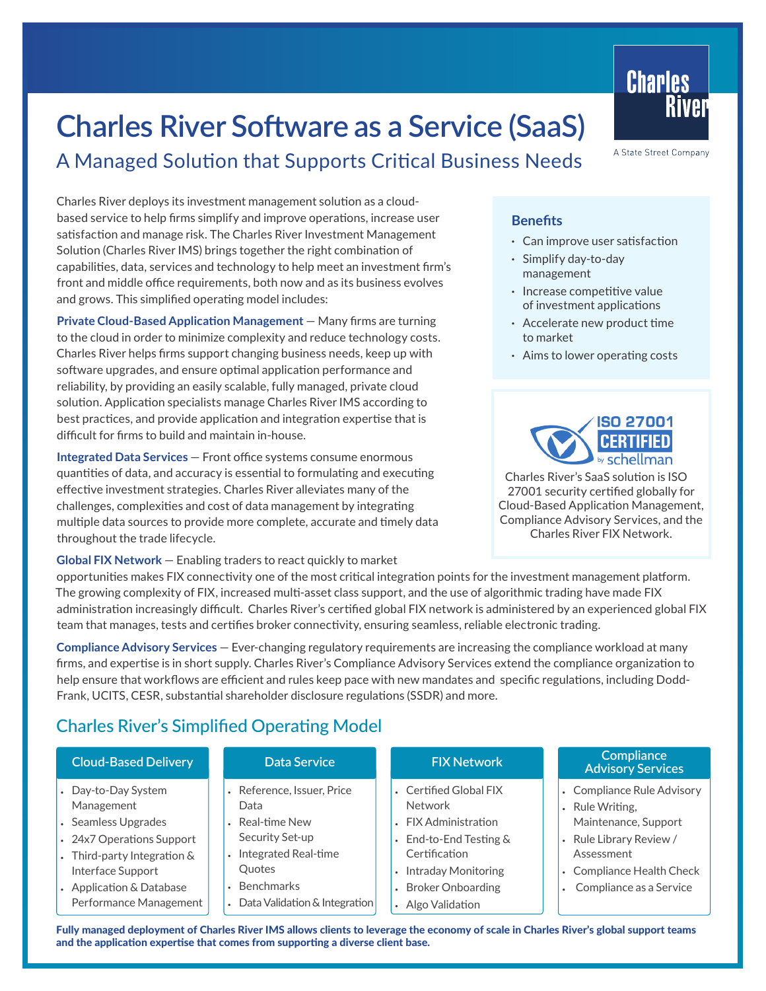# **[Charles River Software as a Service \(SaaS\)](https://www.crd.com/services/SaaS/)**

# A Managed Solution that Supports Critical Business Needs

Charles River deploys its investment management solution as a cloudbased service to help firms simplify and improve operations, increase user satisfaction and manage risk. The Charles River Investment Management Solution (Charles River IMS) brings together the right combination of capabilities, data, services and technology to help meet an investment firm's front and middle office requirements, both now and as its business evolves and grows. This simplified operating model includes:

**Private Cloud-Based Application Management** — Many firms are turning to the cloud in order to minimize complexity and reduce technology costs. Charles River helps firms support changing business needs, keep up with software upgrades, and ensure optimal application performance and reliability, by providing an easily scalable, fully managed, private cloud solution. Application specialists manage Charles River IMS according to best practices, and provide application and integration expertise that is difficult for firms to build and maintain in-house.

**Integrated Data Services** — Front office systems consume enormous quantities of data, and accuracy is essential to formulating and executing effective investment strategies. Charles River alleviates many of the challenges, complexities and cost of data management by integrating multiple data sources to provide more complete, accurate and timely data throughout the trade lifecycle.

**Global FIX Network** — Enabling traders to react quickly to market

opportunities makes FIX connectivity one of the most critical integration points for the investment management platform. The growing complexity of FIX, increased multi-asset class support, and the use of algorithmic trading have made FIX administration increasingly difficult. Charles River's certified global FIX network is administered by an experienced global FIX team that manages, tests and certifies broker connectivity, ensuring seamless, reliable electronic trading.

**Compliance Advisory Services** — Ever-changing regulatory requirements are increasing the compliance workload at many firms, and expertise is in short supply. Charles River's Compliance Advisory Services extend the compliance organization to help ensure that workflows are efficient and rules keep pace with new mandates and specific regulations, including Dodd-Frank, UCITS, CESR, substantial shareholder disclosure regulations (SSDR) and more.

# Charles River's Simplified Operating Model

| <b>Cloud-Based Delivery</b>                                                                                                                                                           | Data Service                                                                                                                                                        | <b>FIX Network</b>                                                                                                                                                           | <b>Compliance</b><br><b>Advisory Services</b>                                                                                                                          |
|---------------------------------------------------------------------------------------------------------------------------------------------------------------------------------------|---------------------------------------------------------------------------------------------------------------------------------------------------------------------|------------------------------------------------------------------------------------------------------------------------------------------------------------------------------|------------------------------------------------------------------------------------------------------------------------------------------------------------------------|
| Day-to-Day System<br>Management<br>Seamless Upgrades<br>24x7 Operations Support<br>Third-party Integration &<br>Interface Support<br>Application & Database<br>Performance Management | Reference, Issuer, Price<br>Data<br>Real-time New<br>Security Set-up<br>Integrated Real-time<br><b>Ouotes</b><br><b>Benchmarks</b><br>Data Validation & Integration | • Certified Global FIX<br><b>Network</b><br>• FIX Administration<br>End-to-End Testing &<br>Certification<br>Intraday Monitoring<br>• Broker Onboarding<br>• Algo Validation | • Compliance Rule Advisory<br>• Rule Writing,<br>Maintenance, Support<br>• Rule Library Review /<br>Assessment<br>• Compliance Health Check<br>Compliance as a Service |

**Charles** 

A State Street Company

River

#### **Benefits**

- **·** Can improve user satisfaction
- **·** Simplify day-to-day management
- **·** Increase competitive value of investment applications
- **·** Accelerate new product time to market
- **·** Aims to lower operating costs



Charles River's SaaS solution is ISO 27001 security certified globally for Cloud-Based Application Management, Compliance Advisory Services, and the Charles River FIX Network.

Fully managed deployment of Charles River IMS allows clients to leverage the economy of scale in Charles River's global support teams and the application expertise that comes from supporting a diverse client base.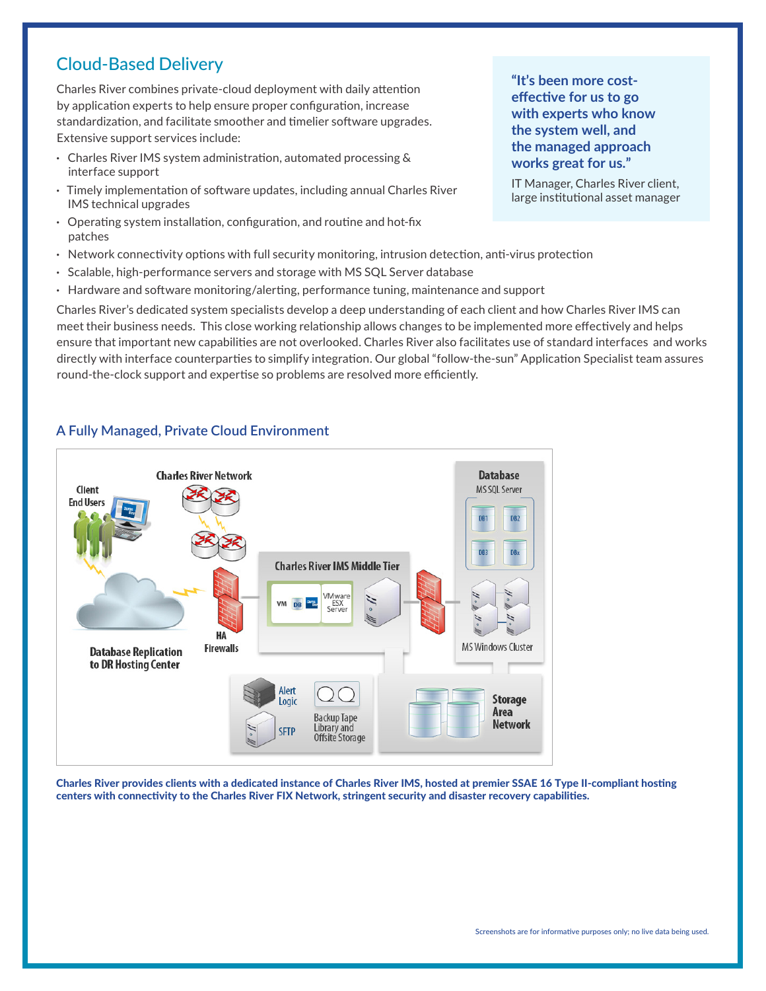### Cloud-Based Delivery

Charles River combines private-cloud deployment with daily attention by application experts to help ensure proper configuration, increase standardization, and facilitate smoother and timelier software upgrades. Extensive support services include:

- **·** Charles River IMS system administration, automated processing & interface support
- **·** Timely implementation of software updates, including annual Charles River IMS technical upgrades
- **·** Operating system installation, configuration, and routine and hot-fix patches
- **·** Network connectivity options with full security monitoring, intrusion detection, anti-virus protection
- **·** Scalable, high-performance servers and storage with MS SQL Server database
- **·** Hardware and software monitoring/alerting, performance tuning, maintenance and support

Charles River's dedicated system specialists develop a deep understanding of each client and how Charles River IMS can meet their business needs. This close working relationship allows changes to be implemented more effectively and helps ensure that important new capabilities are not overlooked. Charles River also facilitates use of standard interfaces and works directly with interface counterparties to simplify integration. Our global "follow-the-sun" Application Specialist team assures round-the-clock support and expertise so problems are resolved more efficiently.



### **A Fully Managed, Private Cloud Environment**

Charles River provides clients with a dedicated instance of Charles River IMS, hosted at premier SSAE 16 Type II-compliant hosting centers with connectivity to the Charles River FIX Network, stringent security and disaster recovery capabilities.

**"It's been more costeffective for us to go with experts who know the system well, and the managed approach works great for us."**

IT Manager, Charles River client, large institutional asset manager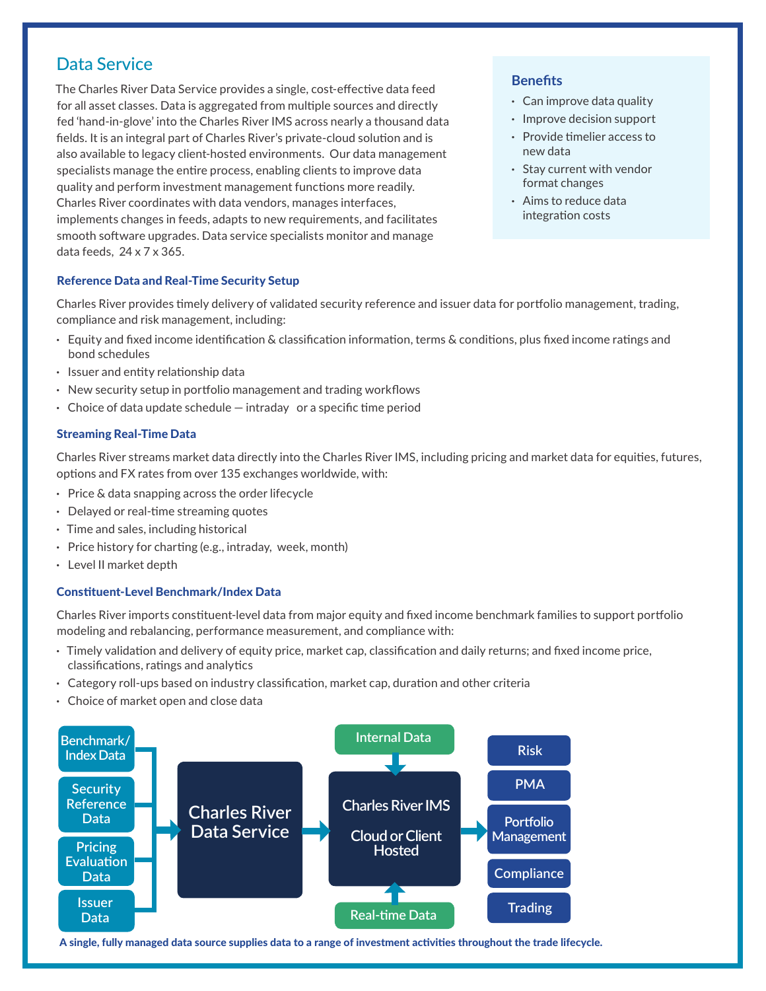### Data Service

The Charles River Data Service provides a single, cost-effective data feed for all asset classes. Data is aggregated from multiple sources and directly fed 'hand-in-glove' into the Charles River IMS across nearly a thousand data fields. It is an integral part of Charles River's private-cloud solution and is also available to legacy client-hosted environments. Our data management specialists manage the entire process, enabling clients to improve data quality and perform investment management functions more readily. Charles River coordinates with data vendors, manages interfaces, implements changes in feeds, adapts to new requirements, and facilitates smooth software upgrades. Data service specialists monitor and manage data feeds, 24 x 7 x 365.

#### **Benefits**

- **·** Can improve data quality
- **·** Improve decision support
- **·** Provide timelier access to new data
- **·** Stay current with vendor format changes
- **·** Aims to reduce data integration costs

#### Reference Data and Real-Time Security Setup

Charles River provides timely delivery of validated security reference and issuer data for portfolio management, trading, compliance and risk management, including:

- **·** Equity and fixed income identification & classification information, terms & conditions, plus fixed income ratings and bond schedules
- **·** Issuer and entity relationship data
- **·** New security setup in portfolio management and trading workflows
- **·** Choice of data update schedule intraday or a specific time period

#### Streaming Real-Time Data

Charles River streams market data directly into the Charles River IMS, including pricing and market data for equities, futures, options and FX rates from over 135 exchanges worldwide, with:

- **·** Price & data snapping across the order lifecycle
- **·** Delayed or real-time streaming quotes
- **·** Time and sales, including historical
- **·** Price history for charting (e.g., intraday, week, month)
- **·** Level II market depth

#### Constituent-Level Benchmark/Index Data

Charles River imports constituent-level data from major equity and fixed income benchmark families to support portfolio modeling and rebalancing, performance measurement, and compliance with:

- **·** Timely validation and delivery of equity price, market cap, classification and daily returns; and fixed income price, classifications, ratings and analytics
- **·** Category roll-ups based on industry classification, market cap, duration and other criteria
- **·** Choice of market open and close data



A single, fully managed data source supplies data to a range of investment activities throughout the trade lifecycle.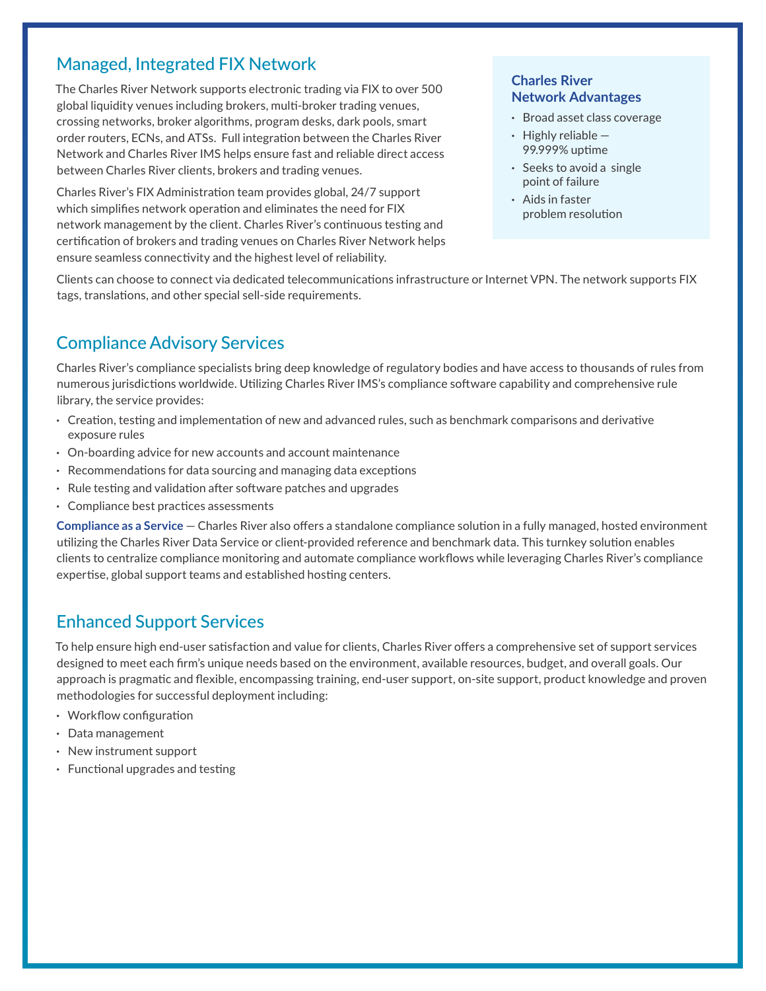### Managed, Integrated FIX Network

The Charles River Network supports electronic trading via FIX to over 500 global liquidity venues including brokers, multi-broker trading venues, crossing networks, broker algorithms, program desks, dark pools, smart order routers, ECNs, and ATSs. Full integration between the Charles River Network and Charles River IMS helps ensure fast and reliable direct access between Charles River clients, brokers and trading venues.

Charles River's FIX Administration team provides global, 24/7 support which simplifies network operation and eliminates the need for FIX network management by the client. Charles River's continuous testing and certification of brokers and trading venues on Charles River Network helps ensure seamless connectivity and the highest level of reliability.

#### **Charles River Network Advantages**

- **·** Broad asset class coverage
- **·** Highly reliable 99.999% uptime
- **·** Seeks to avoid a single point of failure
- **·** Aids in faster problem resolution

Clients can choose to connect via dedicated telecommunications infrastructure or Internet VPN. The network supports FIX tags, translations, and other special sell-side requirements.

# Compliance Advisory Services

Charles River's compliance specialists bring deep knowledge of regulatory bodies and have access to thousands of rules from numerous jurisdictions worldwide. Utilizing Charles River IMS's compliance software capability and comprehensive rule library, the service provides:

- **·** Creation, testing and implementation of new and advanced rules, such as benchmark comparisons and derivative exposure rules
- **·** On-boarding advice for new accounts and account maintenance
- **·** Recommendations for data sourcing and managing data exceptions
- **·** Rule testing and validation after software patches and upgrades
- **·** Compliance best practices assessments

**Compliance as a Service** — Charles River also offers a standalone compliance solution in a fully managed, hosted environment utilizing the Charles River Data Service or client-provided reference and benchmark data. This turnkey solution enables clients to centralize compliance monitoring and automate compliance workflows while leveraging Charles River's compliance expertise, global support teams and established hosting centers.

# Enhanced Support Services

To help ensure high end-user satisfaction and value for clients, Charles River offers a comprehensive set of support services designed to meet each firm's unique needs based on the environment, available resources, budget, and overall goals. Our approach is pragmatic and flexible, encompassing training, end-user support, on-site support, product knowledge and proven methodologies for successful deployment including:

- **·** Workflow configuration
- **·** Data management
- **·** New instrument support
- **·** Functional upgrades and testing